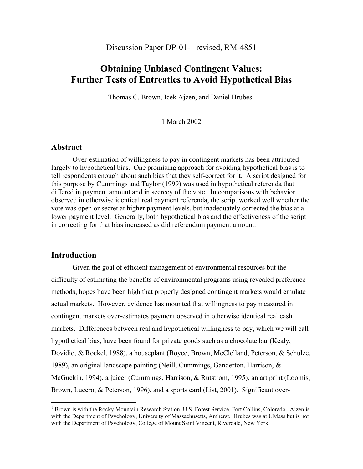# **Obtaining Unbiased Contingent Values: Further Tests of Entreaties to Avoid Hypothetical Bias**

Thomas C. Brown, Icek Ajzen, and Daniel Hrubes<sup>1</sup>

1 March 2002

## **Abstract**

 Over-estimation of willingness to pay in contingent markets has been attributed largely to hypothetical bias. One promising approach for avoiding hypothetical bias is to tell respondents enough about such bias that they self-correct for it. A script designed for this purpose by Cummings and Taylor (1999) was used in hypothetical referenda that differed in payment amount and in secrecy of the vote. In comparisons with behavior observed in otherwise identical real payment referenda, the script worked well whether the vote was open or secret at higher payment levels, but inadequately corrected the bias at a lower payment level. Generally, both hypothetical bias and the effectiveness of the script in correcting for that bias increased as did referendum payment amount.

# **Introduction**

 $\overline{a}$ 

 Given the goal of efficient management of environmental resources but the difficulty of estimating the benefits of environmental programs using revealed preference methods, hopes have been high that properly designed contingent markets would emulate actual markets. However, evidence has mounted that willingness to pay measured in contingent markets over-estimates payment observed in otherwise identical real cash markets. Differences between real and hypothetical willingness to pay, which we will call hypothetical bias, have been found for private goods such as a chocolate bar (Kealy, Dovidio, & Rockel, 1988), a houseplant (Boyce, Brown, McClelland, Peterson, & Schulze, 1989), an original landscape painting (Neill, Cummings, Ganderton, Harrison, & McGuckin, 1994), a juicer (Cummings, Harrison, & Rutstrom, 1995), an art print (Loomis, Brown, Lucero, & Peterson, 1996), and a sports card (List, 2001). Significant over-

<sup>&</sup>lt;sup>1</sup> Brown is with the Rocky Mountain Research Station, U.S. Forest Service, Fort Collins, Colorado. Ajzen is with the Department of Psychology, University of Massachusetts, Amherst. Hrubes was at UMass but is not with the Department of Psychology, College of Mount Saint Vincent, Riverdale, New York.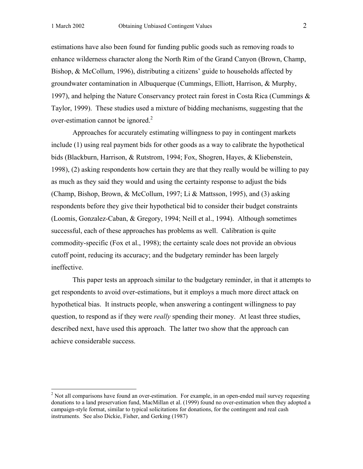estimations have also been found for funding public goods such as removing roads to enhance wilderness character along the North Rim of the Grand Canyon (Brown, Champ, Bishop, & McCollum, 1996), distributing a citizens' guide to households affected by groundwater contamination in Albuquerque (Cummings, Elliott, Harrison, & Murphy, 1997), and helping the Nature Conservancy protect rain forest in Costa Rica (Cummings & Taylor, 1999). These studies used a mixture of bidding mechanisms, suggesting that the over-estimation cannot be ignored. $2^2$ 

 Approaches for accurately estimating willingness to pay in contingent markets include (1) using real payment bids for other goods as a way to calibrate the hypothetical bids (Blackburn, Harrison, & Rutstrom, 1994; Fox, Shogren, Hayes, & Kliebenstein, 1998), (2) asking respondents how certain they are that they really would be willing to pay as much as they said they would and using the certainty response to adjust the bids (Champ, Bishop, Brown, & McCollum, 1997; Li & Mattsson, 1995), and (3) asking respondents before they give their hypothetical bid to consider their budget constraints (Loomis, Gonzalez-Caban, & Gregory, 1994; Neill et al., 1994). Although sometimes successful, each of these approaches has problems as well. Calibration is quite commodity-specific (Fox et al., 1998); the certainty scale does not provide an obvious cutoff point, reducing its accuracy; and the budgetary reminder has been largely ineffective.

 This paper tests an approach similar to the budgetary reminder, in that it attempts to get respondents to avoid over-estimations, but it employs a much more direct attack on hypothetical bias. It instructs people, when answering a contingent willingness to pay question, to respond as if they were *really* spending their money. At least three studies, described next, have used this approach. The latter two show that the approach can achieve considerable success.

 $2$  Not all comparisons have found an over-estimation. For example, in an open-ended mail survey requesting donations to a land preservation fund, MacMillan et al. (1999) found no over-estimation when they adopted a campaign-style format, similar to typical solicitations for donations, for the contingent and real cash instruments. See also Dickie, Fisher, and Gerking (1987)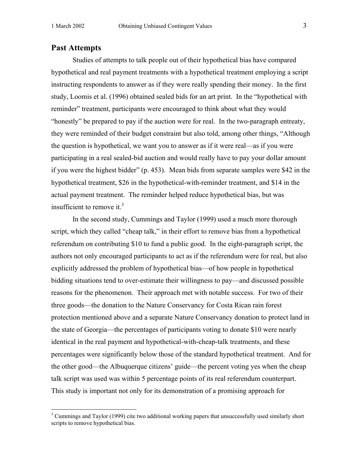## **Past Attempts**

Studies of attempts to talk people out of their hypothetical bias have compared hypothetical and real payment treatments with a hypothetical treatment employing a script instructing respondents to answer as if they were really spending their money. In the first study, Loomis et al. (1996) obtained sealed bids for an art print. In the "hypothetical with reminder" treatment, participants were encouraged to think about what they would "honestly" be prepared to pay if the auction were for real. In the two-paragraph entreaty, they were reminded of their budget constraint but also told, among other things, "Although the question is hypothetical, we want you to answer as if it were real—as if you were participating in a real sealed-bid auction and would really have to pay your dollar amount if you were the highest bidder" (p. 453). Mean bids from separate samples were \$42 in the hypothetical treatment, \$26 in the hypothetical-with-reminder treatment, and \$14 in the actual payment treatment. The reminder helped reduce hypothetical bias, but was insufficient to remove it. $3$ 

 In the second study, Cummings and Taylor (1999) used a much more thorough script, which they called "cheap talk," in their effort to remove bias from a hypothetical referendum on contributing \$10 to fund a public good. In the eight-paragraph script, the authors not only encouraged participants to act as if the referendum were for real, but also explicitly addressed the problem of hypothetical bias—of how people in hypothetical bidding situations tend to over-estimate their willingness to pay—and discussed possible reasons for the phenomenon. Their approach met with notable success. For two of their three goods—the donation to the Nature Conservancy for Costa Rican rain forest protection mentioned above and a separate Nature Conservancy donation to protect land in the state of Georgia—the percentages of participants voting to donate \$10 were nearly identical in the real payment and hypothetical-with-cheap-talk treatments, and these percentages were significantly below those of the standard hypothetical treatment. And for the other good—the Albuquerque citizens' guide—the percent voting yes when the cheap talk script was used was within 5 percentage points of its real referendum counterpart. This study is important not only for its demonstration of a promising approach for

<sup>&</sup>lt;sup>3</sup> Cummings and Taylor (1999) cite two additional working papers that unsuccessfully used similarly short scripts to remove hypothetical bias.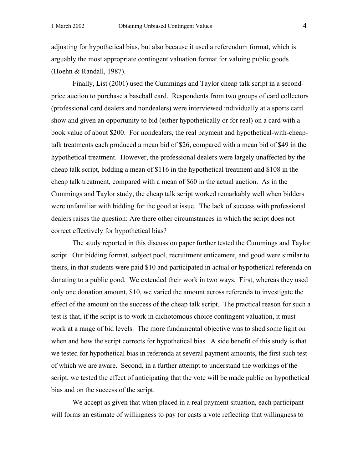adjusting for hypothetical bias, but also because it used a referendum format, which is arguably the most appropriate contingent valuation format for valuing public goods (Hoehn & Randall, 1987).

 Finally, List (2001) used the Cummings and Taylor cheap talk script in a secondprice auction to purchase a baseball card. Respondents from two groups of card collectors (professional card dealers and nondealers) were interviewed individually at a sports card show and given an opportunity to bid (either hypothetically or for real) on a card with a book value of about \$200. For nondealers, the real payment and hypothetical-with-cheaptalk treatments each produced a mean bid of \$26, compared with a mean bid of \$49 in the hypothetical treatment. However, the professional dealers were largely unaffected by the cheap talk script, bidding a mean of \$116 in the hypothetical treatment and \$108 in the cheap talk treatment, compared with a mean of \$60 in the actual auction. As in the Cummings and Taylor study, the cheap talk script worked remarkably well when bidders were unfamiliar with bidding for the good at issue. The lack of success with professional dealers raises the question: Are there other circumstances in which the script does not correct effectively for hypothetical bias?

 The study reported in this discussion paper further tested the Cummings and Taylor script. Our bidding format, subject pool, recruitment enticement, and good were similar to theirs, in that students were paid \$10 and participated in actual or hypothetical referenda on donating to a public good. We extended their work in two ways. First, whereas they used only one donation amount, \$10, we varied the amount across referenda to investigate the effect of the amount on the success of the cheap talk script. The practical reason for such a test is that, if the script is to work in dichotomous choice contingent valuation, it must work at a range of bid levels. The more fundamental objective was to shed some light on when and how the script corrects for hypothetical bias. A side benefit of this study is that we tested for hypothetical bias in referenda at several payment amounts, the first such test of which we are aware. Second, in a further attempt to understand the workings of the script, we tested the effect of anticipating that the vote will be made public on hypothetical bias and on the success of the script.

 We accept as given that when placed in a real payment situation, each participant will forms an estimate of willingness to pay (or casts a vote reflecting that willingness to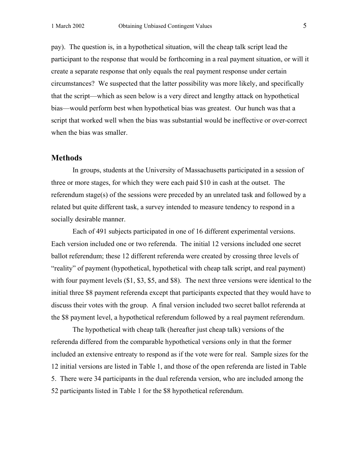pay). The question is, in a hypothetical situation, will the cheap talk script lead the participant to the response that would be forthcoming in a real payment situation, or will it create a separate response that only equals the real payment response under certain circumstances? We suspected that the latter possibility was more likely, and specifically that the script—which as seen below is a very direct and lengthy attack on hypothetical bias—would perform best when hypothetical bias was greatest. Our hunch was that a script that worked well when the bias was substantial would be ineffective or over-correct when the bias was smaller.

#### **Methods**

 In groups, students at the University of Massachusetts participated in a session of three or more stages, for which they were each paid \$10 in cash at the outset. The referendum stage(s) of the sessions were preceded by an unrelated task and followed by a related but quite different task, a survey intended to measure tendency to respond in a socially desirable manner.

 Each of 491 subjects participated in one of 16 different experimental versions. Each version included one or two referenda. The initial 12 versions included one secret ballot referendum; these 12 different referenda were created by crossing three levels of "reality" of payment (hypothetical, hypothetical with cheap talk script, and real payment) with four payment levels  $(1, 53, 55, 35)$ , and \$8). The next three versions were identical to the initial three \$8 payment referenda except that participants expected that they would have to discuss their votes with the group. A final version included two secret ballot referenda at the \$8 payment level, a hypothetical referendum followed by a real payment referendum.

The hypothetical with cheap talk (hereafter just cheap talk) versions of the referenda differed from the comparable hypothetical versions only in that the former included an extensive entreaty to respond as if the vote were for real. Sample sizes for the 12 initial versions are listed in Table 1, and those of the open referenda are listed in Table 5. There were 34 participants in the dual referenda version, who are included among the 52 participants listed in Table 1 for the \$8 hypothetical referendum.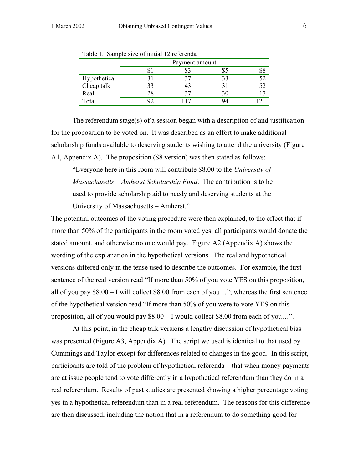| Payment amount |    |                                              |    |
|----------------|----|----------------------------------------------|----|
|                |    |                                              |    |
| 31             | 37 | 33                                           | 52 |
| 33             | 43 | 31                                           | 52 |
| 28             | 37 | 30                                           |    |
| 92             |    | 94                                           |    |
|                |    | Table 1. Sample size of initial 12 referenda |    |

 The referendum stage(s) of a session began with a description of and justification for the proposition to be voted on. It was described as an effort to make additional scholarship funds available to deserving students wishing to attend the university (Figure A1, Appendix A). The proposition (\$8 version) was then stated as follows:

"Everyone here in this room will contribute \$8.00 to the *University of Massachusetts – Amherst Scholarship Fund*. The contribution is to be used to provide scholarship aid to needy and deserving students at the University of Massachusetts – Amherst."

The potential outcomes of the voting procedure were then explained, to the effect that if more than 50% of the participants in the room voted yes, all participants would donate the stated amount, and otherwise no one would pay. Figure A2 (Appendix A) shows the wording of the explanation in the hypothetical versions. The real and hypothetical versions differed only in the tense used to describe the outcomes. For example, the first sentence of the real version read "If more than 50% of you vote YES on this proposition, all of you pay \$8.00 – I will collect \$8.00 from each of you…"; whereas the first sentence of the hypothetical version read "If more than 50% of you were to vote YES on this proposition, all of you would pay \$8.00 – I would collect \$8.00 from each of you…".

 At this point, in the cheap talk versions a lengthy discussion of hypothetical bias was presented (Figure A3, Appendix A). The script we used is identical to that used by Cummings and Taylor except for differences related to changes in the good. In this script, participants are told of the problem of hypothetical referenda—that when money payments are at issue people tend to vote differently in a hypothetical referendum than they do in a real referendum. Results of past studies are presented showing a higher percentage voting yes in a hypothetical referendum than in a real referendum. The reasons for this difference are then discussed, including the notion that in a referendum to do something good for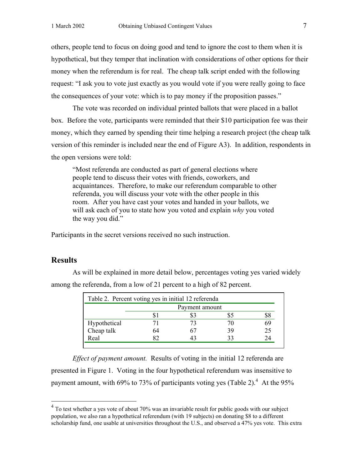others, people tend to focus on doing good and tend to ignore the cost to them when it is hypothetical, but they temper that inclination with considerations of other options for their money when the referendum is for real. The cheap talk script ended with the following request: "I ask you to vote just exactly as you would vote if you were really going to face the consequences of your vote: which is to pay money if the proposition passes."

 The vote was recorded on individual printed ballots that were placed in a ballot box. Before the vote, participants were reminded that their \$10 participation fee was their money, which they earned by spending their time helping a research project (the cheap talk version of this reminder is included near the end of Figure A3). In addition, respondents in the open versions were told:

"Most referenda are conducted as part of general elections where people tend to discuss their votes with friends, coworkers, and acquaintances. Therefore, to make our referendum comparable to other referenda, you will discuss your vote with the other people in this room. After you have cast your votes and handed in your ballots, we will ask each of you to state how you voted and explain *why* you voted the way you did."

Participants in the secret versions received no such instruction.

## **Results**

|              |                | Table 2. Percent voting yes in initial 12 referenda |  |    |
|--------------|----------------|-----------------------------------------------------|--|----|
|              | Payment amount |                                                     |  |    |
|              |                |                                                     |  |    |
| Hypothetical |                |                                                     |  |    |
| Cheap talk   |                |                                                     |  | 25 |
| Real         |                |                                                     |  |    |

 As will be explained in more detail below, percentages voting yes varied widely among the referenda, from a low of 21 percent to a high of 82 percent.

*Effect of payment amount.* Results of voting in the initial 12 referenda are presented in Figure 1. Voting in the four hypothetical referendum was insensitive to payment amount, with 69% to 73% of participants voting yes (Table 2).<sup>4</sup> At the 95%

 4 To test whether a yes vote of about 70% was an invariable result for public goods with our subject population, we also ran a hypothetical referendum (with 19 subjects) on donating \$8 to a different scholarship fund, one usable at universities throughout the U.S., and observed a 47% yes vote. This extra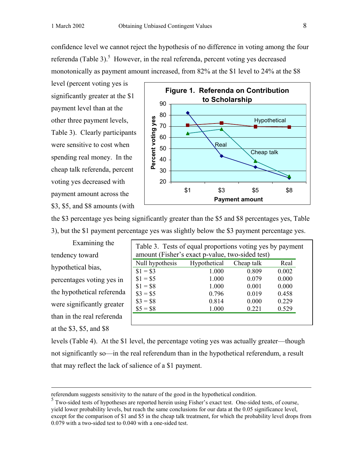level (percent voting yes is significantly greater at the \$1 payment level than at the other three payment levels, Table 3). Clearly participants were sensitive to cost when spending real money. In the cheap talk referenda, percent voting yes decreased with payment amount across the \$3, \$5, and \$8 amounts (with



the \$3 percentage yes being significantly greater than the \$5 and \$8 percentages yes, Table 3), but the \$1 payment percentage yes was slightly below the \$3 payment percentage yes.

Examining the tendency toward hypothetical bias, percentages voting yes in the hypothetical referenda were significantly greater than in the real referenda at the \$3, \$5, and \$8

| Table 3. Tests of equal proportions voting yes by payment<br>amount (Fisher's exact p-value, two-sided test) |              |            |       |  |
|--------------------------------------------------------------------------------------------------------------|--------------|------------|-------|--|
| Null hypothesis                                                                                              | Hypothetical | Cheap talk | Real  |  |
| $$1 = $3$                                                                                                    | 1.000        | 0.809      | 0.002 |  |
| $$1 = $5$                                                                                                    | 1.000        | 0.079      | 0.000 |  |
| $$1 = $8$                                                                                                    | 1.000        | 0.001      | 0.000 |  |
| $\$3 = \$5$                                                                                                  | 0.796        | 0.019      | 0.458 |  |
| $$3 = $8$                                                                                                    | 0.814        | 0.000      | 0.229 |  |
| $$5 = $8$                                                                                                    | 1.000        | 0.221      | 0.529 |  |
|                                                                                                              |              |            |       |  |

levels (Table 4). At the \$1 level, the percentage voting yes was actually greater—though not significantly so—in the real referendum than in the hypothetical referendum, a result that may reflect the lack of salience of a \$1 payment.

referendum suggests sensitivity to the nature of the good in the hypothetical condition.

<sup>&</sup>lt;sup>5</sup> Two-sided tests of hypotheses are reported herein using Fisher's exact test. One-sided tests, of course, yield lower probability levels, but reach the same conclusions for our data at the 0.05 significance level, except for the comparison of \$1 and \$5 in the cheap talk treatment, for which the probability level drops from 0.079 with a two-sided test to 0.040 with a one-sided test.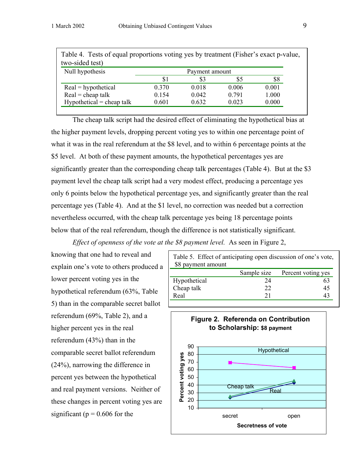| Null hypothesis             | Payment amount |       |       |       |
|-----------------------------|----------------|-------|-------|-------|
|                             | \$1            | \$3   | \$5   | \$8   |
| $Real = hypothetical$       | 0.370          | 0.018 | 0.006 | 0.001 |
| $Real = cheap talk$         | 0.154          | 0.042 | 0.791 | 1.000 |
| $Hypothetical = cheap talk$ | 0.601          | 0.632 | 0.023 | 0.000 |

The cheap talk script had the desired effect of eliminating the hypothetical bias at the higher payment levels, dropping percent voting yes to within one percentage point of what it was in the real referendum at the \$8 level, and to within 6 percentage points at the \$5 level. At both of these payment amounts, the hypothetical percentages yes are significantly greater than the corresponding cheap talk percentages (Table 4). But at the \$3 payment level the cheap talk script had a very modest effect, producing a percentage yes only 6 points below the hypothetical percentage yes, and significantly greater than the real percentage yes (Table 4). And at the \$1 level, no correction was needed but a correction nevertheless occurred, with the cheap talk percentage yes being 18 percentage points below that of the real referendum, though the difference is not statistically significant.

*Effect of openness of the vote at the \$8 payment level.* As seen in Figure 2,

knowing that one had to reveal and explain one's vote to others produced a lower percent voting yes in the hypothetical referendum (63%, Table 5) than in the comparable secret ballot referendum (69%, Table 2), and a higher percent yes in the real referendum (43%) than in the comparable secret ballot referendum (24%), narrowing the difference in percent yes between the hypothetical and real payment versions. Neither of these changes in percent voting yes are significant ( $p = 0.606$  for the

| Table 5. Effect of anticipating open discussion of one's vote, |             |                    |
|----------------------------------------------------------------|-------------|--------------------|
| \$8 payment amount                                             |             |                    |
|                                                                | Sample size | Percent voting yes |
| Hypothetical                                                   | 24          | 63                 |
| Cheap talk                                                     | 22          | 45                 |
| Real                                                           | 21          |                    |

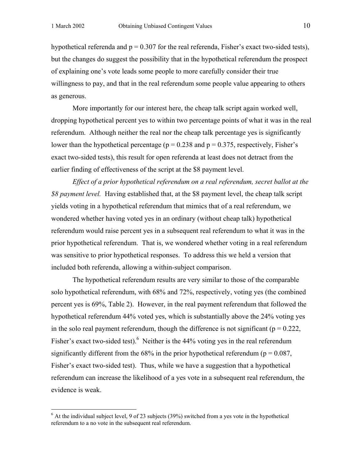hypothetical referenda and  $p = 0.307$  for the real referenda, Fisher's exact two-sided tests), but the changes do suggest the possibility that in the hypothetical referendum the prospect of explaining one's vote leads some people to more carefully consider their true willingness to pay, and that in the real referendum some people value appearing to others as generous.

 More importantly for our interest here, the cheap talk script again worked well, dropping hypothetical percent yes to within two percentage points of what it was in the real referendum. Although neither the real nor the cheap talk percentage yes is significantly lower than the hypothetical percentage ( $p = 0.238$  and  $p = 0.375$ , respectively, Fisher's exact two-sided tests), this result for open referenda at least does not detract from the earlier finding of effectiveness of the script at the \$8 payment level.

*Effect of a prior hypothetical referendum on a real referendum, secret ballot at the \$8 payment level.* Having established that, at the \$8 payment level, the cheap talk script yields voting in a hypothetical referendum that mimics that of a real referendum, we wondered whether having voted yes in an ordinary (without cheap talk) hypothetical referendum would raise percent yes in a subsequent real referendum to what it was in the prior hypothetical referendum. That is, we wondered whether voting in a real referendum was sensitive to prior hypothetical responses. To address this we held a version that included both referenda, allowing a within-subject comparison.

 The hypothetical referendum results are very similar to those of the comparable solo hypothetical referendum, with 68% and 72%, respectively, voting yes (the combined percent yes is 69%, Table 2). However, in the real payment referendum that followed the hypothetical referendum 44% voted yes, which is substantially above the 24% voting yes in the solo real payment referendum, though the difference is not significant ( $p = 0.222$ , Fisher's exact two-sided test). <sup>6</sup> Neither is the 44% voting yes in the real referendum significantly different from the 68% in the prior hypothetical referendum ( $p = 0.087$ , Fisher's exact two-sided test). Thus, while we have a suggestion that a hypothetical referendum can increase the likelihood of a yes vote in a subsequent real referendum, the evidence is weak.

 $6$  At the individual subject level, 9 of 23 subjects (39%) switched from a yes vote in the hypothetical referendum to a no vote in the subsequent real referendum.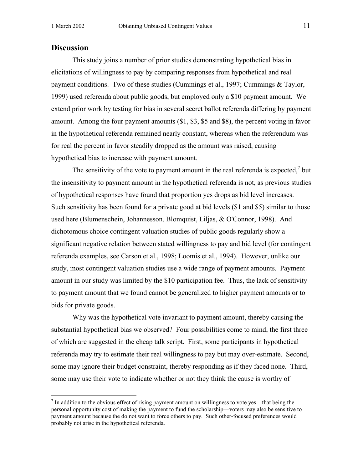# **Discussion**

 This study joins a number of prior studies demonstrating hypothetical bias in elicitations of willingness to pay by comparing responses from hypothetical and real payment conditions. Two of these studies (Cummings et al., 1997; Cummings & Taylor, 1999) used referenda about public goods, but employed only a \$10 payment amount. We extend prior work by testing for bias in several secret ballot referenda differing by payment amount. Among the four payment amounts (\$1, \$3, \$5 and \$8), the percent voting in favor in the hypothetical referenda remained nearly constant, whereas when the referendum was for real the percent in favor steadily dropped as the amount was raised, causing hypothetical bias to increase with payment amount.

The sensitivity of the vote to payment amount in the real referenda is expected, $\lambda$  but the insensitivity to payment amount in the hypothetical referenda is not, as previous studies of hypothetical responses have found that proportion yes drops as bid level increases. Such sensitivity has been found for a private good at bid levels (\$1 and \$5) similar to those used here (Blumenschein, Johannesson, Blomquist, Liljas, & O'Connor, 1998). And dichotomous choice contingent valuation studies of public goods regularly show a significant negative relation between stated willingness to pay and bid level (for contingent referenda examples, see Carson et al., 1998; Loomis et al., 1994). However, unlike our study, most contingent valuation studies use a wide range of payment amounts. Payment amount in our study was limited by the \$10 participation fee. Thus, the lack of sensitivity to payment amount that we found cannot be generalized to higher payment amounts or to bids for private goods.

Why was the hypothetical vote invariant to payment amount, thereby causing the substantial hypothetical bias we observed? Four possibilities come to mind, the first three of which are suggested in the cheap talk script. First, some participants in hypothetical referenda may try to estimate their real willingness to pay but may over-estimate. Second, some may ignore their budget constraint, thereby responding as if they faced none. Third, some may use their vote to indicate whether or not they think the cause is worthy of

<sup>&</sup>lt;sup>7</sup> In addition to the obvious effect of rising payment amount on willingness to vote yes—that being the personal opportunity cost of making the payment to fund the scholarship—voters may also be sensitive to payment amount because the do not want to force others to pay. Such other-focused preferences would probably not arise in the hypothetical referenda.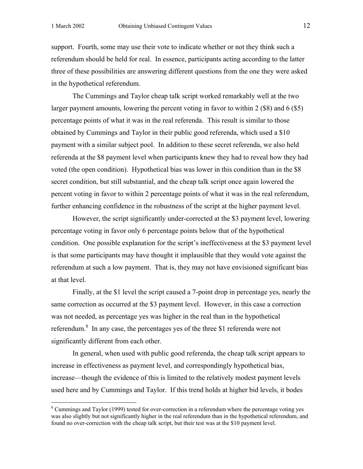support. Fourth, some may use their vote to indicate whether or not they think such a referendum should be held for real. In essence, participants acting according to the latter three of these possibilities are answering different questions from the one they were asked in the hypothetical referendum.

 The Cummings and Taylor cheap talk script worked remarkably well at the two larger payment amounts, lowering the percent voting in favor to within 2 (\$8) and 6 (\$5) percentage points of what it was in the real referenda. This result is similar to those obtained by Cummings and Taylor in their public good referenda, which used a \$10 payment with a similar subject pool. In addition to these secret referenda, we also held referenda at the \$8 payment level when participants knew they had to reveal how they had voted (the open condition). Hypothetical bias was lower in this condition than in the \$8 secret condition, but still substantial, and the cheap talk script once again lowered the percent voting in favor to within 2 percentage points of what it was in the real referendum, further enhancing confidence in the robustness of the script at the higher payment level.

 However, the script significantly under-corrected at the \$3 payment level, lowering percentage voting in favor only 6 percentage points below that of the hypothetical condition. One possible explanation for the script's ineffectiveness at the \$3 payment level is that some participants may have thought it implausible that they would vote against the referendum at such a low payment. That is, they may not have envisioned significant bias at that level.

 Finally, at the \$1 level the script caused a 7-point drop in percentage yes, nearly the same correction as occurred at the \$3 payment level. However, in this case a correction was not needed, as percentage yes was higher in the real than in the hypothetical referendum. $8$  In any case, the percentages yes of the three \$1 referenda were not significantly different from each other.

In general, when used with public good referenda, the cheap talk script appears to increase in effectiveness as payment level, and correspondingly hypothetical bias, increase—though the evidence of this is limited to the relatively modest payment levels used here and by Cummings and Taylor. If this trend holds at higher bid levels, it bodes

<sup>&</sup>lt;sup>8</sup> Cummings and Taylor (1999) tested for over-correction in a referendum where the percentage voting yes was also slightly but not significantly higher in the real referendum than in the hypothetical referendum, and found no over-correction with the cheap talk script, but their test was at the \$10 payment level.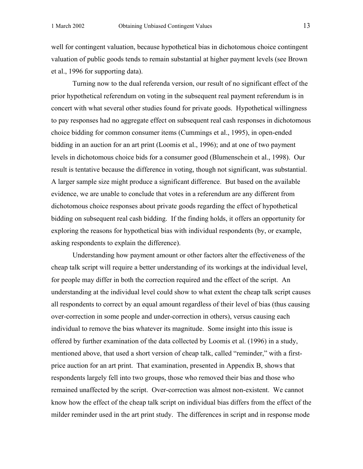well for contingent valuation, because hypothetical bias in dichotomous choice contingent valuation of public goods tends to remain substantial at higher payment levels (see Brown et al., 1996 for supporting data).

 Turning now to the dual referenda version, our result of no significant effect of the prior hypothetical referendum on voting in the subsequent real payment referendum is in concert with what several other studies found for private goods. Hypothetical willingness to pay responses had no aggregate effect on subsequent real cash responses in dichotomous choice bidding for common consumer items (Cummings et al., 1995), in open-ended bidding in an auction for an art print (Loomis et al., 1996); and at one of two payment levels in dichotomous choice bids for a consumer good (Blumenschein et al., 1998). Our result is tentative because the difference in voting, though not significant, was substantial. A larger sample size might produce a significant difference. But based on the available evidence, we are unable to conclude that votes in a referendum are any different from dichotomous choice responses about private goods regarding the effect of hypothetical bidding on subsequent real cash bidding. If the finding holds, it offers an opportunity for exploring the reasons for hypothetical bias with individual respondents (by, or example, asking respondents to explain the difference).

 Understanding how payment amount or other factors alter the effectiveness of the cheap talk script will require a better understanding of its workings at the individual level, for people may differ in both the correction required and the effect of the script. An understanding at the individual level could show to what extent the cheap talk script causes all respondents to correct by an equal amount regardless of their level of bias (thus causing over-correction in some people and under-correction in others), versus causing each individual to remove the bias whatever its magnitude. Some insight into this issue is offered by further examination of the data collected by Loomis et al. (1996) in a study, mentioned above, that used a short version of cheap talk, called "reminder," with a firstprice auction for an art print. That examination, presented in Appendix B, shows that respondents largely fell into two groups, those who removed their bias and those who remained unaffected by the script. Over-correction was almost non-existent. We cannot know how the effect of the cheap talk script on individual bias differs from the effect of the milder reminder used in the art print study. The differences in script and in response mode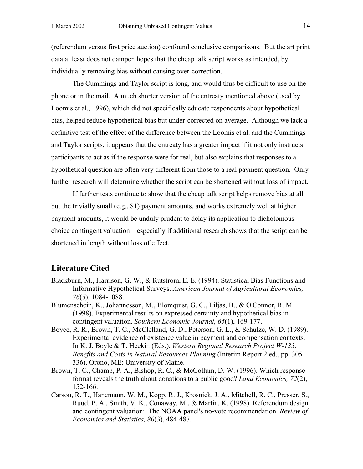(referendum versus first price auction) confound conclusive comparisons. But the art print data at least does not dampen hopes that the cheap talk script works as intended, by individually removing bias without causing over-correction.

 The Cummings and Taylor script is long, and would thus be difficult to use on the phone or in the mail. A much shorter version of the entreaty mentioned above (used by Loomis et al., 1996), which did not specifically educate respondents about hypothetical bias, helped reduce hypothetical bias but under-corrected on average. Although we lack a definitive test of the effect of the difference between the Loomis et al. and the Cummings and Taylor scripts, it appears that the entreaty has a greater impact if it not only instructs participants to act as if the response were for real, but also explains that responses to a hypothetical question are often very different from those to a real payment question. Only further research will determine whether the script can be shortened without loss of impact.

If further tests continue to show that the cheap talk script helps remove bias at all but the trivially small (e.g., \$1) payment amounts, and works extremely well at higher payment amounts, it would be unduly prudent to delay its application to dichotomous choice contingent valuation—especially if additional research shows that the script can be shortened in length without loss of effect.

# **Literature Cited**

- Blackburn, M., Harrison, G. W., & Rutstrom, E. E. (1994). Statistical Bias Functions and Informative Hypothetical Surveys. *American Journal of Agricultural Economics, 76*(5), 1084-1088.
- Blumenschein, K., Johannesson, M., Blomquist, G. C., Liljas, B., & O'Connor, R. M. (1998). Experimental results on expressed certainty and hypothetical bias in contingent valuation. *Southern Economic Journal, 65*(1), 169-177.
- Boyce, R. R., Brown, T. C., McClelland, G. D., Peterson, G. L., & Schulze, W. D. (1989). Experimental evidence of existence value in payment and compensation contexts. In K. J. Boyle & T. Heekin (Eds.), *Western Regional Research Project W-133: Benefits and Costs in Natural Resources Planning* (Interim Report 2 ed., pp. 305- 336). Orono, ME: University of Maine.
- Brown, T. C., Champ, P. A., Bishop, R. C., & McCollum, D. W. (1996). Which response format reveals the truth about donations to a public good? *Land Economics, 72*(2), 152-166.
- Carson, R. T., Hanemann, W. M., Kopp, R. J., Krosnick, J. A., Mitchell, R. C., Presser, S., Ruud, P. A., Smith, V. K., Conaway, M., & Martin, K. (1998). Referendum design and contingent valuation: The NOAA panel's no-vote recommendation. *Review of Economics and Statistics, 80*(3), 484-487.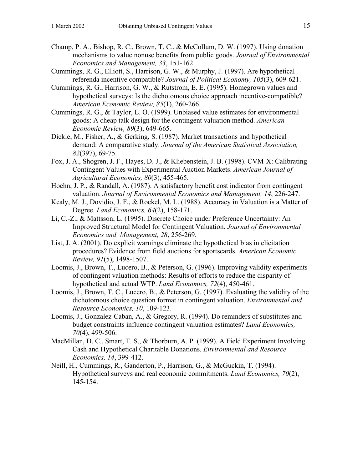- Champ, P. A., Bishop, R. C., Brown, T. C., & McCollum, D. W. (1997). Using donation mechanisms to value nonuse benefits from public goods. *Journal of Environmental Economics and Management, 33*, 151-162.
- Cummings, R. G., Elliott, S., Harrison, G. W., & Murphy, J. (1997). Are hypothetical referenda incentive compatible? *Journal of Political Economy, 105*(3), 609-621.
- Cummings, R. G., Harrison, G. W., & Rutstrom, E. E. (1995). Homegrown values and hypothetical surveys: Is the dichotomous choice approach incentive-compatible? *American Economic Review, 85*(1), 260-266.
- Cummings, R. G., & Taylor, L. O. (1999). Unbiased value estimates for environmental goods: A cheap talk design for the contingent valuation method. *American Economic Review, 89*(3), 649-665.
- Dickie, M., Fisher, A., & Gerking, S. (1987). Market transactions and hypothetical demand: A comparative study. *Journal of the American Statistical Association, 82*(397), 69-75.
- Fox, J. A., Shogren, J. F., Hayes, D. J., & Kliebenstein, J. B. (1998). CVM-X: Calibrating Contingent Values with Experimental Auction Markets. *American Journal of Agricultural Economics, 80*(3), 455-465.
- Hoehn, J. P., & Randall, A. (1987). A satisfactory benefit cost indicator from contingent valuation. *Journal of Environmental Economics and Management, 14*, 226-247.
- Kealy, M. J., Dovidio, J. F., & Rockel, M. L. (1988). Accuracy in Valuation is a Matter of Degree. *Land Economics, 64*(2), 158-171.
- Li, C.-Z., & Mattsson, L. (1995). Discrete Choice under Preference Uncertainty: An Improved Structural Model for Contingent Valuation. *Journal of Environmental Economics and Management, 28*, 256-269.
- List, J. A. (2001). Do explicit warnings eliminate the hypothetical bias in elicitation procedures? Evidence from field auctions for sportscards. *American Economic Review, 91*(5), 1498-1507.
- Loomis, J., Brown, T., Lucero, B., & Peterson, G. (1996). Improving validity experiments of contingent valuation methods: Results of efforts to reduce the disparity of hypothetical and actual WTP. *Land Economics, 72*(4), 450-461.
- Loomis, J., Brown, T. C., Lucero, B., & Peterson, G. (1997). Evaluating the validity of the dichotomous choice question format in contingent valuation. *Environmental and Resource Economics, 10*, 109-123.
- Loomis, J., Gonzalez-Caban, A., & Gregory, R. (1994). Do reminders of substitutes and budget constraints influence contingent valuation estimates? *Land Economics, 70*(4), 499-506.
- MacMillan, D. C., Smart, T. S., & Thorburn, A. P. (1999). A Field Experiment Involving Cash and Hypothetical Charitable Donations. *Environmental and Resource Economics, 14*, 399-412.
- Neill, H., Cummings, R., Ganderton, P., Harrison, G., & McGuckin, T. (1994). Hypothetical surveys and real economic commitments. *Land Economics, 70*(2), 145-154.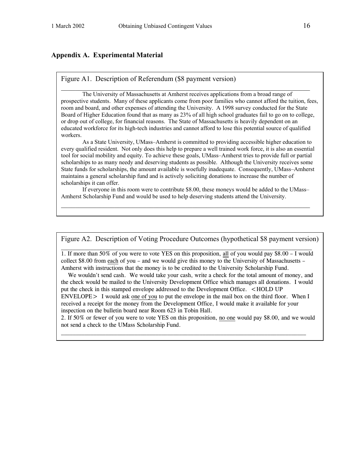# **Appendix A. Experimental Material**

#### Figure A1. Description of Referendum (\$8 payment version)

The University of Massachusetts at Amherst receives applications from a broad range of prospective students. Many of these applicants come from poor families who cannot afford the tuition, fees, room and board, and other expenses of attending the University. A 1998 survey conducted for the State Board of Higher Education found that as many as 23% of all high school graduates fail to go on to college, or drop out of college, for financial reasons. The State of Massachusetts is heavily dependent on an educated workforce for its high-tech industries and cannot afford to lose this potential source of qualified workers.

 As a State University, UMass–Amherst is committed to providing accessible higher education to every qualified resident. Not only does this help to prepare a well trained work force, it is also an essential tool for social mobility and equity. To achieve these goals, UMass–Amherst tries to provide full or partial scholarships to as many needy and deserving students as possible. Although the University receives some State funds for scholarships, the amount available is woefully inadequate. Consequently, UMass–Amherst maintains a general scholarship fund and is actively soliciting donations to increase the number of scholarships it can offer.

If everyone in this room were to contribute \$8.00, these moneys would be added to the UMass– Amherst Scholarship Fund and would be used to help deserving students attend the University.  $\mathcal{L}_\text{max} = \mathcal{L}_\text{max} = \mathcal{L}_\text{max} = \mathcal{L}_\text{max} = \mathcal{L}_\text{max} = \mathcal{L}_\text{max} = \mathcal{L}_\text{max} = \mathcal{L}_\text{max} = \mathcal{L}_\text{max} = \mathcal{L}_\text{max} = \mathcal{L}_\text{max} = \mathcal{L}_\text{max} = \mathcal{L}_\text{max} = \mathcal{L}_\text{max} = \mathcal{L}_\text{max} = \mathcal{L}_\text{max} = \mathcal{L}_\text{max} = \mathcal{L}_\text{max} = \mathcal{$ 

Figure A2. Description of Voting Procedure Outcomes (hypothetical \$8 payment version)

1. If more than 50% of you were to vote YES on this proposition, all of you would pay \$8.00 – I would collect \$8.00 from each of you – and we would give this money to the University of Massachusetts – Amherst with instructions that the money is to be credited to the University Scholarship Fund.

 We wouldn't send cash. We would take your cash, write a check for the total amount of money, and the check would be mailed to the University Development Office which manages all donations. I would put the check in this stamped envelope addressed to the Development Office. <HOLD UP ENVELOPE> I would ask one of you to put the envelope in the mail box on the third floor. When I received a receipt for the money from the Development Office, I would make it available for your inspection on the bulletin board near Room 623 in Tobin Hall.

2. If 50% or fewer of you were to vote YES on this proposition, no one would pay \$8.00, and we would not send a check to the UMass Scholarship Fund.

 $\mathcal{L} = \{ \mathcal{L} \mathcal{L} \mathcal{L} \mathcal{L} \mathcal{L} \mathcal{L} \mathcal{L} \mathcal{L} \mathcal{L} \mathcal{L} \mathcal{L} \mathcal{L} \mathcal{L} \mathcal{L} \mathcal{L} \mathcal{L} \mathcal{L} \mathcal{L} \mathcal{L} \mathcal{L} \mathcal{L} \mathcal{L} \mathcal{L} \mathcal{L} \mathcal{L} \mathcal{L} \mathcal{L} \mathcal{L} \mathcal{L} \mathcal{L} \mathcal{L} \mathcal{L} \mathcal{L} \mathcal{L} \mathcal{L} \$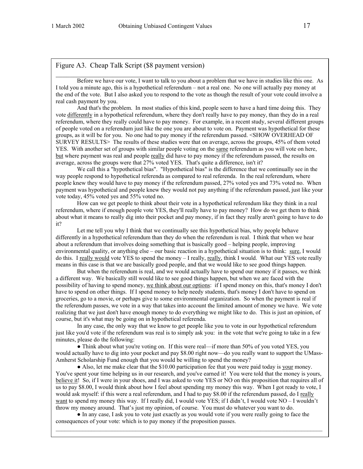#### Figure A3. Cheap Talk Script (\$8 payment version)

 Before we have our vote, I want to talk to you about a problem that we have in studies like this one. As I told you a minute ago, this is a hypothetical referendum – not a real one. No one will actually pay money at the end of the vote. But I also asked you to respond to the vote as though the result of your vote could involve a real cash payment by you.

 $\_$  , and the contribution of the contribution of  $\mathcal{L}_\mathcal{A}$  , and the contribution of  $\mathcal{L}_\mathcal{A}$ 

And that's the problem. In most studies of this kind, people seem to have a hard time doing this. They vote differently in a hypothetical referendum, where they don't really have to pay money, than they do in a real referendum, where they really could have to pay money. For example, in a recent study, several different groups of people voted on a referendum just like the one you are about to vote on. Payment was hypothetical for these groups, as it will be for you. No one had to pay money if the referendum passed. <SHOW OVERHEAD OF SURVEY RESULTS> The results of these studies were that on average, across the groups, 45% of them voted YES. With another set of groups with similar people voting on the same referendum as you will vote on here, but where payment was real and people really did have to pay money if the referendum passed, the results on average, across the groups were that 27% voted YES. That's quite a difference, isn't it?

 We call this a "hypothetical bias". "Hypothetical bias" is the difference that we continually see in the way people respond to hypothetical referenda as compared to real referenda. In the real referendum, where people knew they would have to pay money if the referendum passed, 27% voted yes and 73% voted no. When payment was hypothetical and people knew they would not pay anything if the referendum passed, just like your vote today, 45% voted yes and 55% voted no.

 How can we get people to think about their vote in a hypothetical referendum like they think in a real referendum, where if enough people vote YES, they'll really have to pay money? How do we get them to think about what it means to really dig into their pocket and pay money, if in fact they really aren't going to have to do it?

 Let me tell you why I think that we continually see this hypothetical bias, why people behave differently in a hypothetical referendum than they do when the referendum is real. I think that when we hear about a referendum that involves doing something that is basically good – helping people, improving environmental quality, or anything else – our basic reaction in a hypothetical situation is to think: sure, I would do this. I really would vote YES to spend the money – I really, really, think I would. What our YES vote really means in this case is that we are basically good people, and that we would like to see good things happen.

 But when the referendum is real, and we would actually have to spend our money if it passes, we think a different way. We basically still would like to see good things happen, but when we are faced with the possibility of having to spend money, we think about our options: if I spend money on this, that's money I don't have to spend on other things. If I spend money to help needy students, that's money I don't have to spend on groceries, go to a movie, or perhaps give to some environmental organization. So when the payment is real if the referendum passes, we vote in a way that takes into account the limited amount of money we have. We vote realizing that we just don't have enough money to do everything we might like to do. This is just an opinion, of course, but it's what may be going on in hypothetical referenda.

 In any case, the only way that we know to get people like you to vote in our hypothetical referendum just like you'd vote if the referendum was real is to simply ask you: in the vote that we're going to take in a few minutes, please do the following:

• Think about what you're voting on. If this were real—if more than 50% of you voted YES, you would actually have to dig into your pocket and pay \$8.00 right now—do you really want to support the UMass-Amherst Scholarship Fund enough that you would be willing to spend the money?

• Also, let me make clear that the \$10.00 participation fee that you were paid today is your money. You've spent your time helping us in our research, and you've earned it! You were told that the money is yours, believe it! So, if I were in your shoes, and I was asked to vote YES or NO on this proposition that requires all of us to pay \$8.00, I would think about how I feel about spending my money this way. When I got ready to vote, I would ask myself: if this were a real referendum, and I had to pay \$8.00 if the referendum passed, do I really want to spend my money this way. If I really did, I would vote YES; if I didn't, I would vote NO – I wouldn't throw my money around. That's just my opinion, of course. You must do whatever you want to do.

● In any case, I ask you to vote just exactly as you would vote if you were really going to face the consequences of your vote: which is to pay money if the proposition passes.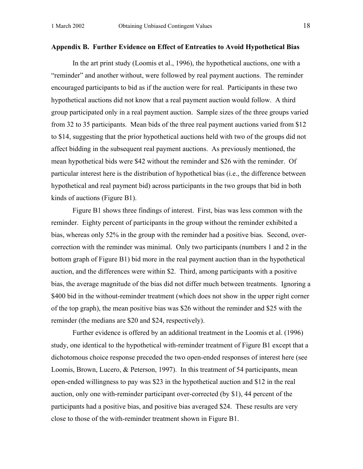#### **Appendix B. Further Evidence on Effect of Entreaties to Avoid Hypothetical Bias**

 In the art print study (Loomis et al., 1996), the hypothetical auctions, one with a "reminder" and another without, were followed by real payment auctions. The reminder encouraged participants to bid as if the auction were for real. Participants in these two hypothetical auctions did not know that a real payment auction would follow. A third group participated only in a real payment auction. Sample sizes of the three groups varied from 32 to 35 participants. Mean bids of the three real payment auctions varied from \$12 to \$14, suggesting that the prior hypothetical auctions held with two of the groups did not affect bidding in the subsequent real payment auctions. As previously mentioned, the mean hypothetical bids were \$42 without the reminder and \$26 with the reminder. Of particular interest here is the distribution of hypothetical bias (i.e., the difference between hypothetical and real payment bid) across participants in the two groups that bid in both kinds of auctions (Figure B1).

Figure B1 shows three findings of interest. First, bias was less common with the reminder. Eighty percent of participants in the group without the reminder exhibited a bias, whereas only 52% in the group with the reminder had a positive bias. Second, overcorrection with the reminder was minimal. Only two participants (numbers 1 and 2 in the bottom graph of Figure B1) bid more in the real payment auction than in the hypothetical auction, and the differences were within \$2. Third, among participants with a positive bias, the average magnitude of the bias did not differ much between treatments. Ignoring a \$400 bid in the without-reminder treatment (which does not show in the upper right corner of the top graph), the mean positive bias was \$26 without the reminder and \$25 with the reminder (the medians are \$20 and \$24, respectively).

Further evidence is offered by an additional treatment in the Loomis et al. (1996) study, one identical to the hypothetical with-reminder treatment of Figure B1 except that a dichotomous choice response preceded the two open-ended responses of interest here (see Loomis, Brown, Lucero, & Peterson, 1997). In this treatment of 54 participants, mean open-ended willingness to pay was \$23 in the hypothetical auction and \$12 in the real auction, only one with-reminder participant over-corrected (by \$1), 44 percent of the participants had a positive bias, and positive bias averaged \$24. These results are very close to those of the with-reminder treatment shown in Figure B1.